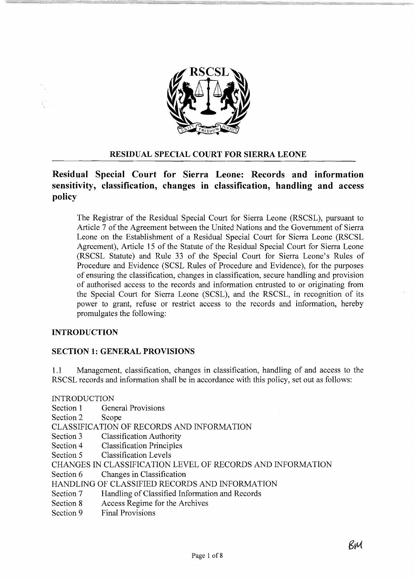

### **RESIDUAL SPECIAL COURT FOR SIERRA LEONE**

# Residual Special Court for Sierra Leone: Records and information sensitivity, classification, changes in classification, handling and access policy

The Registrar of the Residual Special Court for Sierra Leone (RSCSL), pursuant to Article 7 of the Agreement between the United Nations and the Government of Sierra Leone on the Establishment of a Residual Special Court for Sierra Leone (RSCSL Agreement), Article 15 of the Statute of the Residual Special Court for Sierra Leone (RSCSL Statute) and Rule 33 of the Special Court for Sierra Leone's Rules of Procedure and Evidence (SCSL Rules of Procedure and Evidence), for the purposes of ensuring the classification, changes in classification, secure handling and provision of authorised access to the records and information entrusted to or originating from the Special Court for Sierra Leone (SCSL), and the RSCSL, in recognition of its power to grant, refuse or restrict access to the records and information, hereby promulgates the following:

#### **INTRODUCTION**

#### **SECTION 1: GENERAL PROVISIONS**

Management, classification, changes in classification, handling of and access to the  $1.1$ RSCSL records and information shall be in accordance with this policy, set out as follows:

**INTRODUCTION** 

Section 1 **General Provisions** 

Section 2 Scope

CLASSIFICATION OF RECORDS AND INFORMATION

- Section 3 **Classification Authority**
- **Classification Principles** Section 4
- **Classification Levels** Section 5

CHANGES IN CLASSIFICATION LEVEL OF RECORDS AND INFORMATION

Changes in Classification Section 6

HANDLING OF CLASSIFIED RECORDS AND INFORMATION

- Section 7 Handling of Classified Information and Records
- Access Regime for the Archives Section 8
- **Final Provisions** Section 9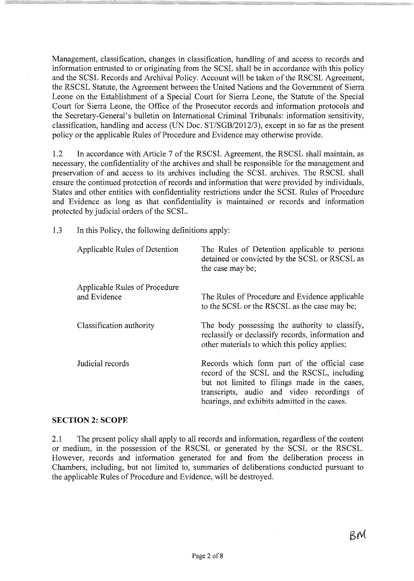Management, classification, changes in classification, handling of and access to records and information entrusted to or originating from the SCSL shall be in accordance with this policy and the SCSL Records and Archival Policy. Account will be taken of the RSCSL Agreement, the RSCSL Statute, the Agreement between the United Nations and the Government of Sierra Leone on the Establishment of a Special Court for Sierra Leone, the Statute of the Special Court for Sierra Leone, the Office of the Prosecutor records and information protocols and the Secretary-General's bulletin on International Criminal Tribunals: information sensitivity, classification, handling and access (UN Doc. *ST/SGBI2012/3),* except in so far as the present policy or the applicable Rules of Procedure and Evidence may otherwise provide.

1.2 **In** accordance with Article 7 of the RSCSL Agreement, the RSCSL shall maintain, as necessary, the confidentiality of the archives and shall be responsible for the management and preservation of and access to its archives including the SCSL archives. The RSCSL shall ensure the continued protection of records and information that were provided by individuals, States and other entities with confidentiality restrictions under the SCSL Rules of Procedure and Evidence as long as that confidentiality is maintained or records and information protected by judicial orders of the SCSL.

1.3 **In**this Policy, the following definitions apply:

| Applicable Rules of Detention                 | The Rules of Detention applicable to persons<br>detained or convicted by the SCSL or RSCSL as<br>the case may be;                                                                                                                           |
|-----------------------------------------------|---------------------------------------------------------------------------------------------------------------------------------------------------------------------------------------------------------------------------------------------|
| Applicable Rules of Procedure<br>and Evidence | The Rules of Procedure and Evidence applicable<br>to the SCSL or the RSCSL as the case may be;                                                                                                                                              |
| Classification authority                      | The body possessing the authority to classify,<br>reclassify or declassify records, information and<br>other materials to which this policy applies;                                                                                        |
| Judicial records                              | Records which form part of the official case<br>record of the SCSL and the RSCSL, including<br>but not limited to filings made in the cases,<br>transcripts, audio and video recordings of<br>hearings, and exhibits admitted in the cases. |

#### **SECTION 2: SCOPE**

2.1 The present policy shall apply to all records and information, regardless of the content or medium, in the possession of the RSCSL or generated by the SCSL or the RSCSL. However, records and information generated for and from the deliberation process in Chambers, including, but not limited to, summaries of deliberations conducted pursuant to the applicable Rules of Procedure and Evidence, will be destroyed.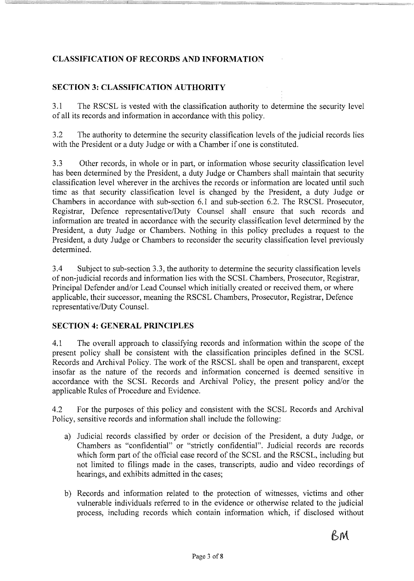## **CLASSIFICATION OF RECORDS AND INFORMATION**

## **SECTION 3: CLASSIFICATION AUTHORITY**

3.1 The RSCSL is vested with the classification authority to determine the security level of all its records and information in accordance with this policy.

3.2 The authority to determine the security classification levels of the judicial records lies with the President or a duty Judge or with a Chamber if one is constituted.

3.3 Other records, in whole or in part, or information whose security classification level has been determined by the President, a duty Judge or Chambers shall maintain that security classification level wherever in the archives the records or information are located until such time as that security classification level is changed by the President, a duty Judge or Chambers in accordance with sub-section 6.1 and sub-section 6.2. The RSCSL Prosecutor, Registrar, Defence representative/Duty Counsel shall ensure that such records and information are treated in accordance with the security classification level determined by the President, a duty Judge or Chambers. Nothing in this policy precludes a request to the President, a duty Judge or Chambers to reconsider the security classification level previously determined.

3.4 Subject to sub-section 3.3, the authority to determine the security classification levels of non-judicial records and information lies with the SCSL Chambers, Prosecutor, Registrar, Principal Defender and/or Lead Counsel which initially created or received them, or where applicable, their successor, meaning the RSCSL Chambers, Prosecutor, Registrar, Defence representative/Duty Counsel.

#### **SECTION 4: GENERAL PRINCIPLES**

4.1 The overall approach to classifying records and information within the scope of the present policy shall be consistent with the classification principles defined in the SCSL Records and Archival Policy. The work of the RSCSL shall be open and transparent, except insofar as the nature of the records and information concerned is deemed sensitive in accordance with the SCSL Records and Archival Policy, the present policy and/or the applicable Rules of Procedure and Evidence.

4.2 For the purposes of this policy and consistent with the SCSL Records and Archival Policy, sensitive records and information shall include the following:

- a) Judicial records classified by order or decision of the President, a duty Judge, or Chambers as "confidential" or "strictly confidential". Judicial records are records which form part of the official case record of the SCSL and the RSCSL, including but not limited to filings made in the cases, transcripts, audio and video recordings of hearings, and exhibits admitted in the cases;
- b) Records and information related to the protection of witnesses, victims and other vulnerable individuals referred to in the evidence or otherwise related to the judicial process, including records which contain information which, if disclosed without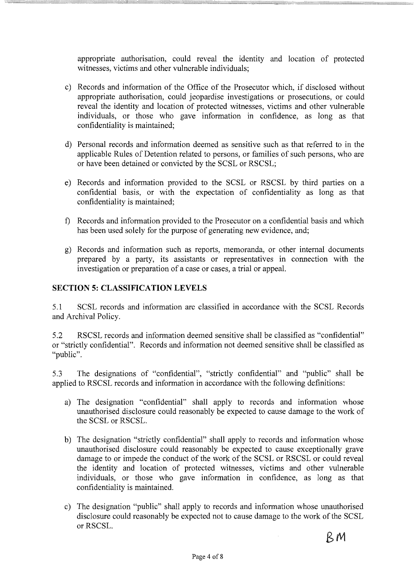appropriate authorisation, could reveal the identity and location of protected witnesses, victims and other vulnerable individuals;

- c) Records and information of the Office of the Prosecutor which, if disclosed without appropriate authorisation, could jeopardise investigations or prosecutions, or could reveal the identity and location of protected witnesses, victims and other vulnerable individuals, or those who gave information in confidence, as long as that confidentiality is maintained;
- d) Personal records and information deemed as sensitive such as that referred to in the applicable Rules of Detention related to persons, or families of such persons, who are or have been detained or convicted by the SCSL or RSCSL;
- e) Records and information provided to the SCSL or RSCSL by third parties on a confidential basis, or with the expectation of confidentiality as long as that confidentiality is maintained;
- f) Records and information provided to the Prosecutor on a confidential basis and which has been used solely for the purpose of generating new evidence, and;
- g) Records and information such as reports, memoranda, or other internal documents prepared by a party, its assistants or representatives in connection with the investigation or preparation of a case or cases, a trial or appeal.

## **SECTION 5: CLASSIFICATION LEVELS**

5.1 SCSI, records and information are classified in accordance with the SCSI, Records and Archival Policy.

5.2 RSCSL records and information deemed sensitive shall be classified as "confidential" or "strictly confidential". Records and information not deemed sensitive shall be classified as "public".

5.3 The designations of "confidential", "strictly confidential" and "public" shall be applied to RSCSL records and information in accordance with the following definitions:

- a) The designation "confidential" shall apply to records and information whose unauthorised disclosure could reasonably be expected to cause damage to the work of the SCSI, or RSCSL.
- b) The designation "strictly confidential" shall apply to records and information whose unauthorised disclosure could reasonably be expected to cause exceptionally grave damage to or impede the conduct of the work of the SCSL or RSCSL or could reveal the identity and location of protected witnesses, victims and other vulnerable individuals, or those who gave information in confidence, as long as that confidentiality is maintained.
- c) The designation "public" shall apply to records and information whose unauthorised disclosure could reasonably be expected not to cause damage to the work of the SCSL or RSCSL.

 $\bar{z}$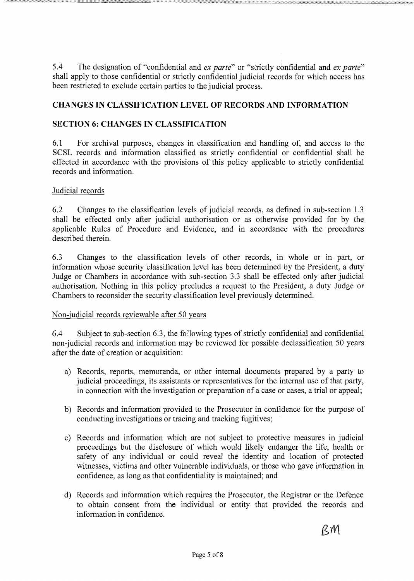$5.4$ The designation of "confidential and ex parte" or "strictly confidential and ex parte" shall apply to those confidential or strictly confidential judicial records for which access has been restricted to exclude certain parties to the judicial process.

### **CHANGES IN CLASSIFICATION LEVEL OF RECORDS AND INFORMATION**

### **SECTION 6: CHANGES IN CLASSIFICATION**

 $6.1$ For archival purposes, changes in classification and handling of, and access to the SCSL records and information classified as strictly confidential or confidential shall be effected in accordance with the provisions of this policy applicable to strictly confidential records and information.

#### Judicial records

6.2 Changes to the classification levels of judicial records, as defined in sub-section 1.3 shall be effected only after judicial authorisation or as otherwise provided for by the applicable Rules of Procedure and Evidence, and in accordance with the procedures described therein.

6.3 Changes to the classification levels of other records, in whole or in part, or information whose security classification level has been determined by the President, a duty Judge or Chambers in accordance with sub-section 3.3 shall be effected only after judicial authorisation. Nothing in this policy precludes a request to the President, a duty Judge or Chambers to reconsider the security classification level previously determined.

#### Non-judicial records reviewable after 50 years

6.4 Subject to sub-section 6.3, the following types of strictly confidential and confidential non-judicial records and information may be reviewed for possible declassification 50 years after the date of creation or acquisition:

- a) Records, reports, memoranda, or other internal documents prepared by a party to judicial proceedings, its assistants or representatives for the internal use of that party, in connection with the investigation or preparation of a case or cases, a trial or appeal;
- b) Records and information provided to the Prosecutor in confidence for the purpose of conducting investigations or tracing and tracking fugitives;
- c) Records and information which are not subject to protective measures in judicial proceedings but the disclosure of which would likely endanger the life, health or safety of any individual or could reveal the identity and location of protected witnesses, victims and other vulnerable individuals, or those who gave information in confidence, as long as that confidentiality is maintained; and
- d) Records and information which requires the Prosecutor, the Registrar or the Defence to obtain consent from the individual or entity that provided the records and information in confidence.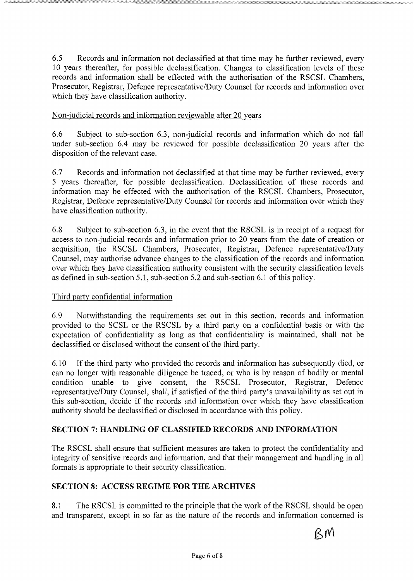6.5 Records and information not declassified at that time may be further reviewed, every 10 years thereafter, for possible declassification. Changes to classification levels of these records and information shall be effected with the authorisation of the RSCSL Chambers, Prosecutor, Registrar, Defence representative/Duty Counsel for records and information over which they have classification authority.

## Non-judicial records and information reviewable after 20 years

6.6 Subject to sub-section 6.3, non-judicial records and information which do not fall under sub-section 6.4 may be reviewed for possible declassification 20 years after the disposition of the relevant case.

6.7 Records and information not declassified at that time may be further reviewed, every 5 years thereafter, for possible declassification. Declassification of these records and information may be effected with the authorisation of the RSCSL Chambers, Prosecutor, Registrar, Defence representative/Duty Counsel for records and information over which they have classification authority.

6.8 Subject to sub-section 6.3, in the event that the RSCSL is in receipt of a request for access to non-judicial records and information prior to 20 years from the date of creation or acquisition, the RSCSL Chambers, Prosecutor, Registrar, Defence representative/Duty Counsel, may authorise advance changes to the classification of the records and information over which they have classification authority consistent with the security classification levels as defined in sub-section 5.1, sub-section 5.2 and sub-section 6.1 of this policy.

#### Third party confidential information

6.9 Notwithstanding the requirements set out in this section, records and information provided to the SCSL or the RSCSL by a third party on a confidential basis or with the expectation of confidentiality as long as that confidentiality is maintained, shall not be declassified or disclosed without the consent of the third party.

6.10 If the third party who provided the records and information has subsequently died, or can no longer with reasonable diligence be traced, or who is by reason of bodily or mental condition unable to give consent, the RSCSL Prosecutor, Registrar, Defence representative/Duty Counsel, shall, if satisfied of the third party's unavailability as set out in this sub-section, decide if the records and information over which they have classification authority should be declassified or disclosed in accordance with this policy.

## **SECTION 7: HANDLING OF CLASSIFIED RECORDS AND INFORMATION**

The RSCSL shall ensure that sufficient measures are taken to protect the confidentiality and integrity of sensitive records and information, and that their management and handling in all formats is appropriate to their security classification.

#### **SECTION 8: ACCESS REGIME FOR THE ARCHIVES**

8.1 The RSCSL is committed to the principle that the work of the RSCSL should be open and transparent, except in so far as the nature of the records and information concerned is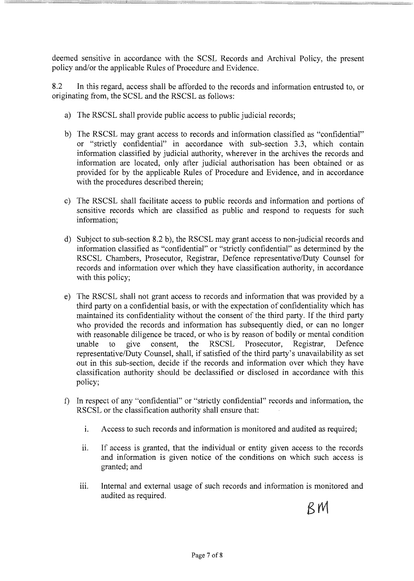deemed sensitive in accordance with the SCSL Records and Archival Policy, the present policy and/or the applicable Rules of Procedure and Evidence.

8.2 In this regard, access shall be afforded to the records and information entrusted to, or originating from, the SCSL and the RSCSL as follows:

- a) The RSCSL shall provide public access to public judicial records;
- b) The RSCSL may grant access to records and information classified as "confidential" or "strictly confidential" in accordance with sub-section 3.3, which contain information classified by judicial authority, wherever in the archives the records and information are located, only after judicial authorisation has been obtained or as provided for by the applicable Rules of Procedure and Evidence, and in accordance with the procedures described therein;
- c) The RSCSL shall facilitate access to public records and information and portions of sensitive records which are classified as public and respond to requests for such information;
- d) Subject to sub-section 8.2 b), the RSCSL may grant access to non-judicial records and information classified as "confidential" or "strictly confidential" as determined by the RSCSL Chambers, Prosecutor, Registrar, Defence representative/Duty Counsel for records and information over which they have classification authority, in accordance with this policy;
- e) The RSCSL shall not grant access to records and information that was provided by a third party on a confidential basis, or with the expectation of confidentiality which has maintained its confidentiality without the consent of the third party. If the third party who provided the records and information has subsequently died, or can no longer with reasonable diligence be traced, or who is by reason of bodily or mental condition unable to give consent, the RSCSL Prosecutor, Registrar, Defence representative/Duty Counsel, shall, if satisfied of the third party's unavailability as set out in this sub-section, decide if the records and information over which they have classification authority should be declassified or disclosed in accordance with this policy;
- f) In respect of any "confidential" or "strictly confidential" records and information, the RSCSL or the classification authority shall ensure that:
	- 1. Access to such records and information is monitored and audited as required;
	- ii. If access is granted, that the individual or entity given access to the records and information is given notice of the conditions on which such access is granted; and
	- iii. Internal and external usage of such records and information is monitored and audited as required.

 $RM$